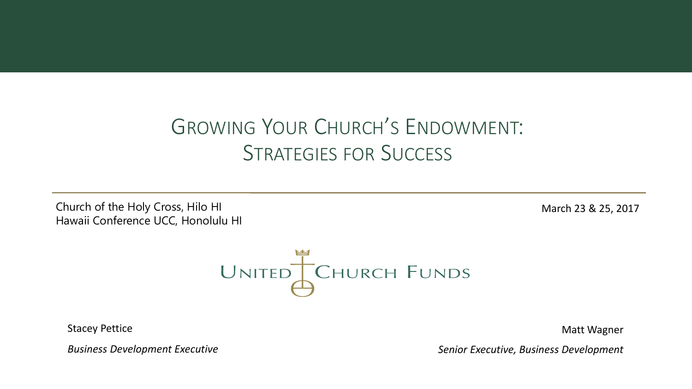# GROWING YOUR CHURCH'S ENDOWMENT: STRATEGIES FOR SUCCESS

Church of the Holy Cross, Hilo HI March 23 & 25, 2017 Hawaii Conference UCC, Honolulu HI



Stacey Pettice

Matt Wagner

*Business Development Executive*

*Senior Executive, Business Development*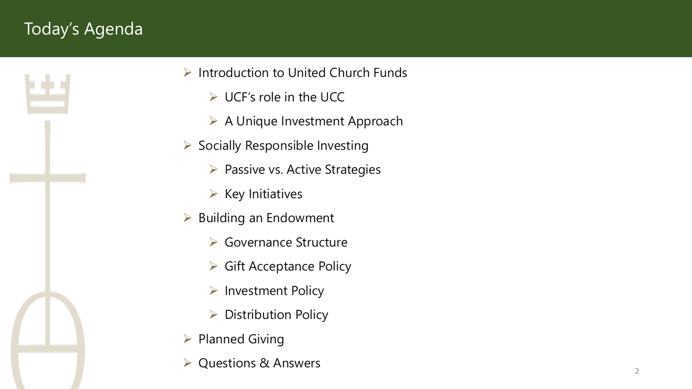# Today's Agenda



- $\triangleright$  Introduction to United Church Funds
	- $\triangleright$  UCF's role in the UCC
	- ▶ A Unique Investment Approach
- $\triangleright$  Socially Responsible Investing
	- $\triangleright$  Passive vs. Active Strategies
	- $\triangleright$  Key Initiatives
- $\triangleright$  Building an Endowment
	- **► Governance Structure**
	- $\triangleright$  Gift Acceptance Policy
	- $\triangleright$  Investment Policy
	- $\triangleright$  Distribution Policy
- $\triangleright$  Planned Giving
- Questions & Answers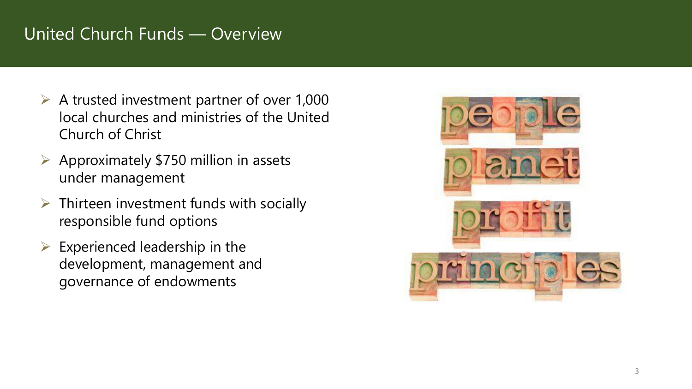### United Church Funds — Overview

- $\triangleright$  A trusted investment partner of over 1,000 local churches and ministries of the United Church of Christ
- $\triangleright$  Approximately \$750 million in assets under management
- $\triangleright$  Thirteen investment funds with socially responsible fund options
- $\triangleright$  Experienced leadership in the development, management and governance of endowments

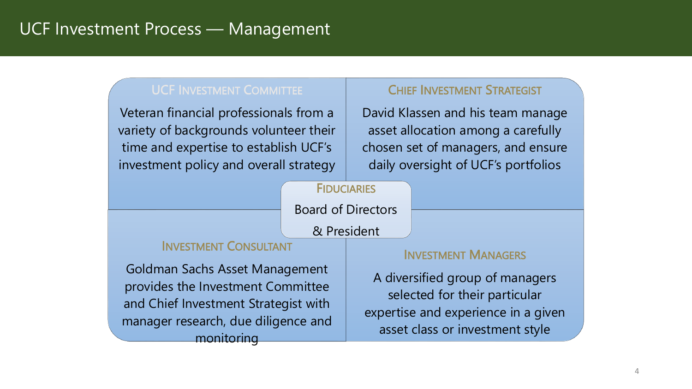### UCF Investment Process — Management

#### UCF INVESTMENT COMMITTEE

Veteran financial professionals from a variety of backgrounds volunteer their time and expertise to establish UCF's investment policy and overall strategy

#### CHIEF INVESTMENT STRATEGIST

David Klassen and his team manage asset allocation among a carefully chosen set of managers, and ensure daily oversight of UCF's portfolios

#### **FIDUCIARIES**

Board of Directors

& President

#### INVESTMENT CONSULTANT

Goldman Sachs Asset Management provides the Investment Committee and Chief Investment Strategist with manager research, due diligence and monitoring

#### INVESTMENT MANAGERS

A diversified group of managers selected for their particular expertise and experience in a given asset class or investment style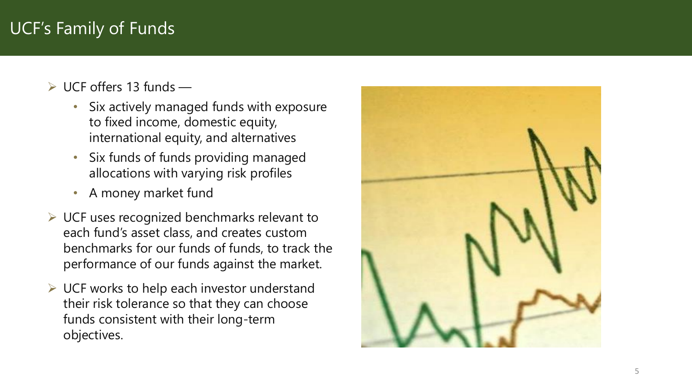### UCF's Family of Funds

- UCF offers 13 funds
	- Six actively managed funds with exposure to fixed income, domestic equity, international equity, and alternatives
	- Six funds of funds providing managed allocations with varying risk profiles
	- A money market fund
- $\triangleright$  UCF uses recognized benchmarks relevant to each fund's asset class, and creates custom benchmarks for our funds of funds, to track the performance of our funds against the market.
- $\triangleright$  UCF works to help each investor understand their risk tolerance so that they can choose funds consistent with their long -term objectives.

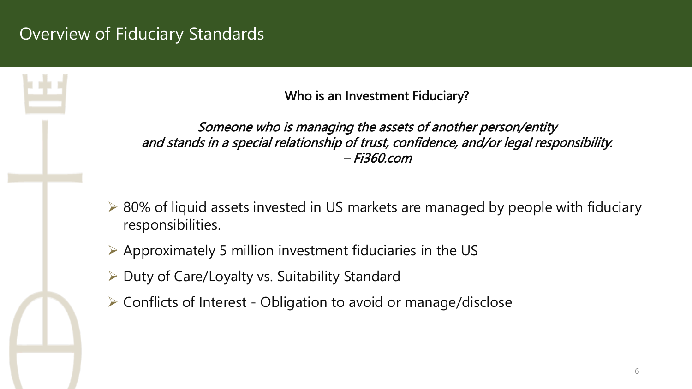### Overview of Fiduciary Standards

Who is an Investment Fiduciary?

Someone who is managing the assets of another person/entity and stands in a special relationship of trust, confidence, and/or legal responsibility. – Fi360.com

- **► 80% of liquid assets invested in US markets are managed by people with fiduciary** responsibilities.
- $\triangleright$  Approximately 5 million investment fiduciaries in the US
- $\triangleright$  Duty of Care/Loyalty vs. Suitability Standard
- Conflicts of Interest Obligation to avoid or manage/disclose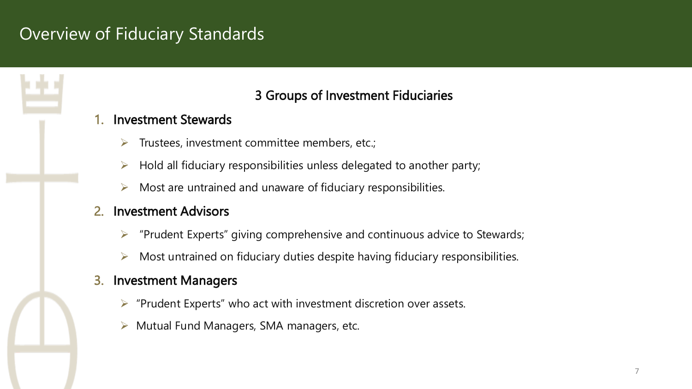### Overview of Fiduciary Standards

### 3 Groups of Investment Fiduciaries

#### 1. Investment Stewards

- Trustees, investment committee members, etc.;
- $\triangleright$  Hold all fiduciary responsibilities unless delegated to another party;
- Most are untrained and unaware of fiduciary responsibilities.
- 2. Investment Advisors
	- $\triangleright$  "Prudent Experts" giving comprehensive and continuous advice to Stewards;
	- $\triangleright$  Most untrained on fiduciary duties despite having fiduciary responsibilities.

#### 3. Investment Managers

- $\triangleright$  "Prudent Experts" who act with investment discretion over assets.
- $\triangleright$  Mutual Fund Managers, SMA managers, etc.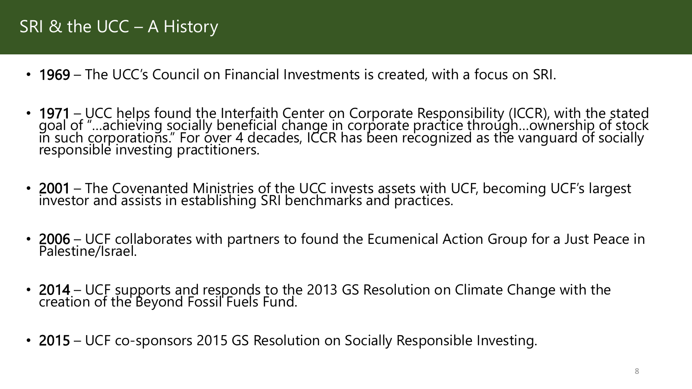### SRI & the UCC – A History

- 1969 The UCC's Council on Financial Investments is created, with a focus on SRI.
- 1971 UCC helps found the Interfaith Center on Corporate Responsibility (ICCR), with the stated goal of "…achieving socially beneficial change in corporate practice through…ownership of stock in such corporations." For over 4 decades, ICCR has been recognized as the vanguard of socially responsible investing practitioners.
- 2001 The Covenanted Ministries of the UCC invests assets with UCF, becoming UCF's largest investor and assists in establishing SRI benchmarks and practices.
- 2006 UCF collaborates with partners to found the Ecumenical Action Group for a Just Peace in Palestine/Israel.
- 2014 UCF supports and responds to the 2013 GS Resolution on Climate Change with the creation of the Beyond Fossil Fuels Fund.
- 2015 UCF co-sponsors 2015 GS Resolution on Socially Responsible Investing.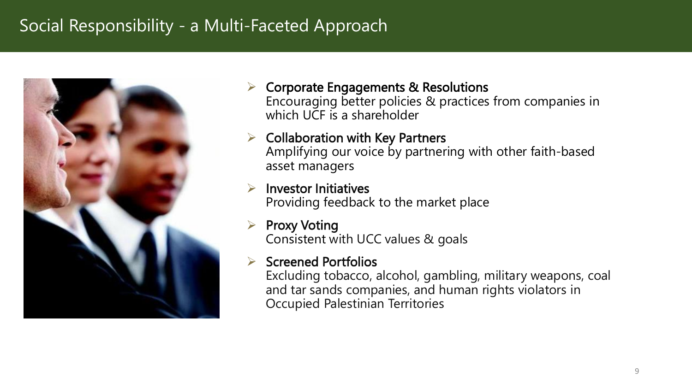### Social Responsibility - a Multi-Faceted Approach



 Corporate Engagements & Resolutions Encouraging better policies & practices from companies in which UCF is a shareholder

 $\triangleright$  Collaboration with Key Partners Amplifying our voice by partnering with other faith-based asset managers

 Investor Initiatives Providing feedback to the market place

 Proxy Voting Consistent with UCC values & goals

### Screened Portfolios

Excluding tobacco, alcohol, gambling, military weapons, coal and tar sands companies, and human rights violators in Occupied Palestinian Territories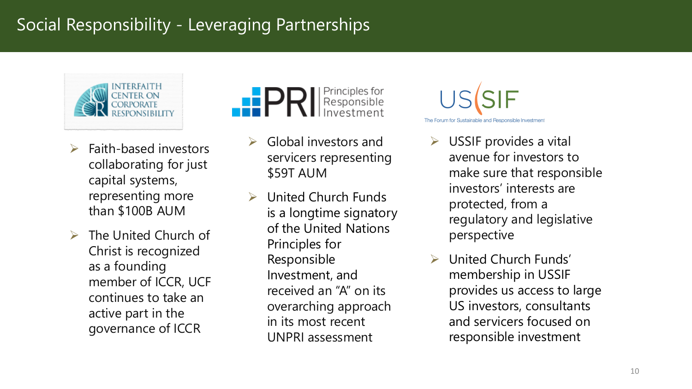### Social Responsibility - Leveraging Partnerships



- $\triangleright$  Faith-based investors collaborating for just capital systems, representing more than \$100B AUM
- The United Church of Christ is recognized as a founding member of ICCR, UCF continues to take an active part in the governance of ICCR

# Principles for<br>Responsible

- Global investors and servicers representing \$59T AUM
- United Church Funds is a longtime signatory of the United Nations Principles for Responsible Investment, and received an "A" on its overarching approach in its most recent UNPRI assessment



- USSIF provides a vital avenue for investors to make sure that responsible investors' interests are protected, from a regulatory and legislative perspective
- United Church Funds' membership in USSIF provides us access to large US investors, consultants and servicers focused on responsible investment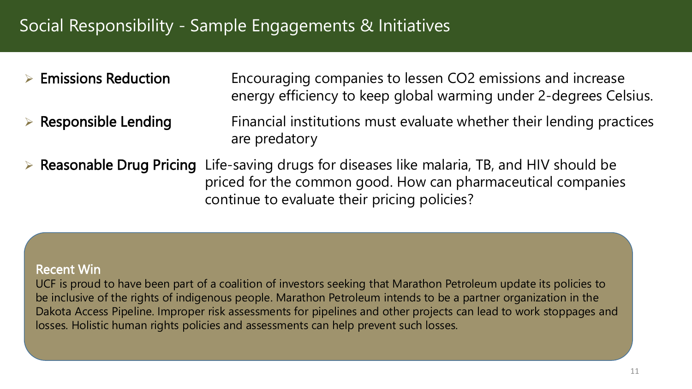### Social Responsibility - Sample Engagements & Initiatives

- **Emissions Reduction** Encouraging companies to lessen CO2 emissions and increase energy efficiency to keep global warming under 2-degrees Celsius.
- $\triangleright$  Responsible Lending Financial institutions must evaluate whether their lending practices are predatory
- Reasonable Drug Pricing Life-saving drugs for diseases like malaria, TB, and HIV should be priced for the common good. How can pharmaceutical companies continue to evaluate their pricing policies?

#### Recent Win

UCF is proud to have been part of a coalition of investors seeking that Marathon Petroleum update its policies to be inclusive of the rights of indigenous people. Marathon Petroleum intends to be a partner organization in the Dakota Access Pipeline. Improper risk assessments for pipelines and other projects can lead to work stoppages and losses. Holistic human rights policies and assessments can help prevent such losses.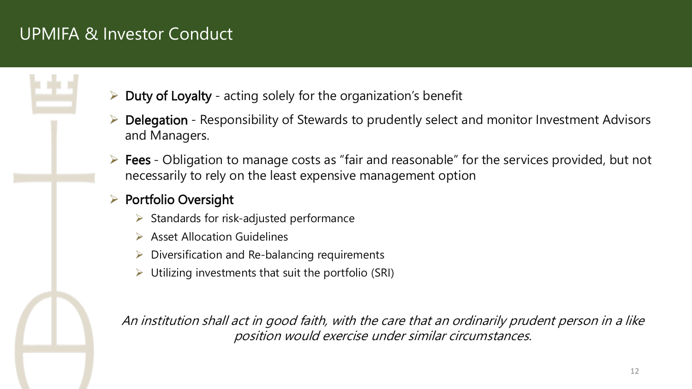### UPMIFA & Investor Conduct

- Duty of Loyalty acting solely for the organization's benefit
- Delegation Responsibility of Stewards to prudently select and monitor Investment Advisors and Managers.
- $\triangleright$  Fees Obligation to manage costs as "fair and reasonable" for the services provided, but not necessarily to rely on the least expensive management option

### $\triangleright$  Portfolio Oversight

- Standards for risk-adjusted performance
- $\triangleright$  Asset Allocation Guidelines
- $\triangleright$  Diversification and Re-balancing requirements
- Utilizing investments that suit the portfolio (SRI)

An institution shall act in good faith, with the care that an ordinarily prudent person in a like position would exercise under similar circumstances.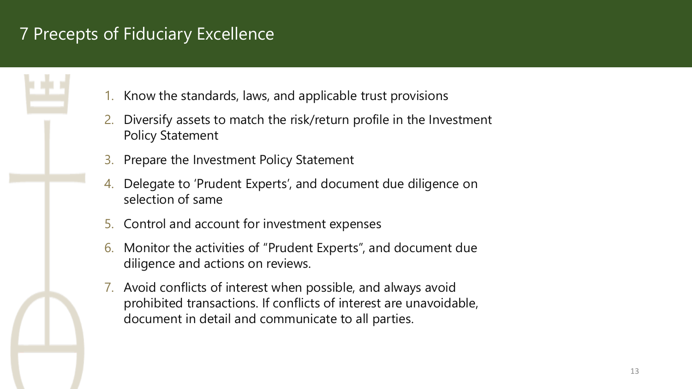### 7 Precepts of Fiduciary Excellence

- 1. Know the standards, laws, and applicable trust provisions
- 2. Diversify assets to match the risk/return profile in the Investment Policy Statement
- 3. Prepare the Investment Policy Statement
- 4. Delegate to 'Prudent Experts', and document due diligence on selection of same
- 5. Control and account for investment expenses
- 6. Monitor the activities of "Prudent Experts", and document due diligence and actions on reviews.
- 7. Avoid conflicts of interest when possible, and always avoid prohibited transactions. If conflicts of interest are unavoidable, document in detail and communicate to all parties.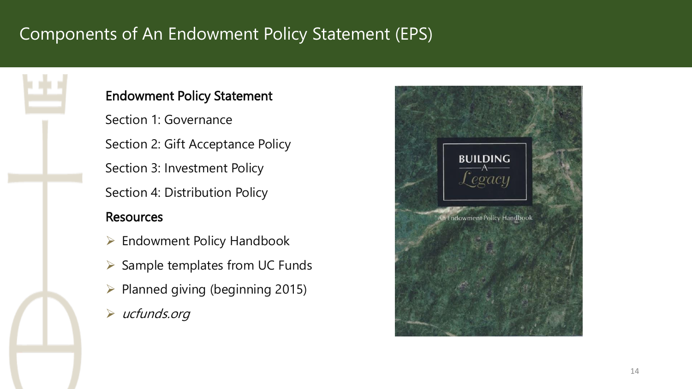# Components of An Endowment Policy Statement (EPS)



#### Endowment Policy Statement

Section 1: Governance Section 2: Gift Acceptance Policy Section 3: Investment Policy

Section 4: Distribution Policy

### **Resources**

- $\triangleright$  Endowment Policy Handbook
- $\triangleright$  Sample templates from UC Funds
- $\triangleright$  Planned giving (beginning 2015)
- $\triangleright$  ucfunds.org

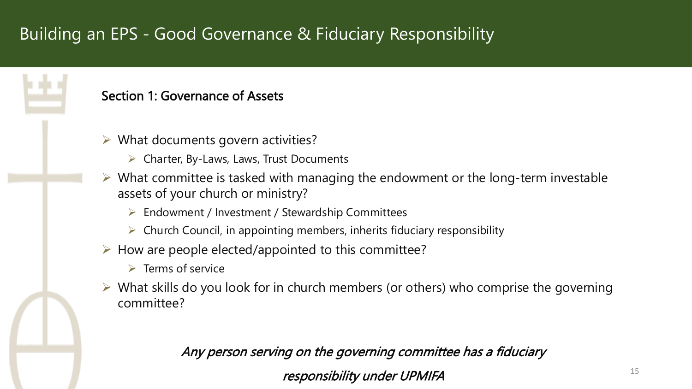# Building an EPS - Good Governance & Fiduciary Responsibility

#### Section 1: Governance of Assets

- $\triangleright$  What documents govern activities?
	- $\triangleright$  Charter, By-Laws, Laws, Trust Documents
- $\triangleright$  What committee is tasked with managing the endowment or the long-term investable assets of your church or ministry?
	- $\triangleright$  Endowment / Investment / Stewardship Committees
	- $\triangleright$  Church Council, in appointing members, inherits fiduciary responsibility
- $\triangleright$  How are people elected/appointed to this committee?
	- $\triangleright$  Terms of service
- $\triangleright$  What skills do you look for in church members (or others) who comprise the governing committee?

### Any person serving on the governing committee has a fiduciary

responsibility under UPMIFA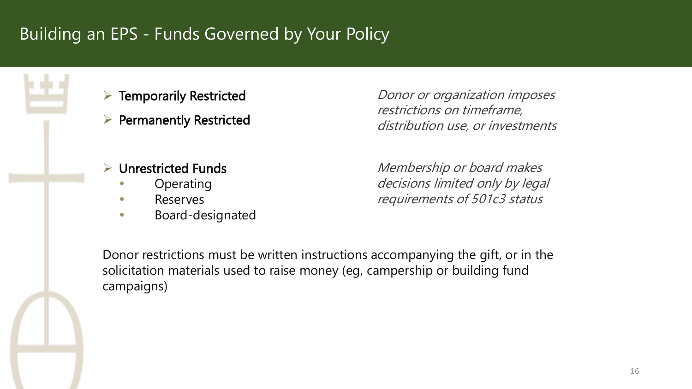# Building an EPS - Funds Governed by Your Policy



- $\triangleright$  Permanently Restricted
- Unrestricted Funds
	- Operating
	- Reserves
	- **Board-designated**

Donor or organization imposes restrictions on timeframe, distribution use, or investments

Membership or board makes decisions limited only by legal requirements of 501c3 status

Donor restrictions must be written instructions accompanying the gift, or in the solicitation materials used to raise money (eg, campership or building fund campaigns)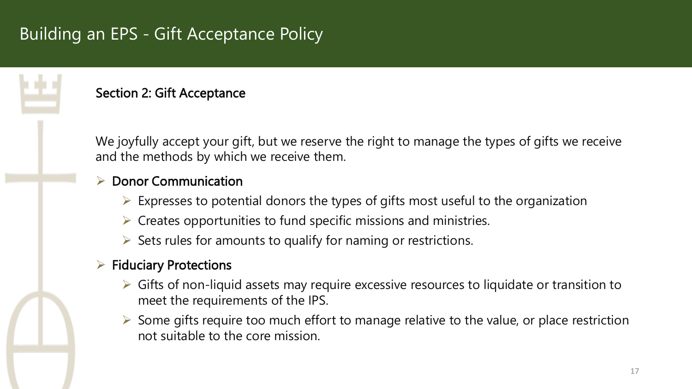# Building an EPS - Gift Acceptance Policy



#### Section 2: Gift Acceptance

We joyfully accept your gift, but we reserve the right to manage the types of gifts we receive and the methods by which we receive them.

#### Donor Communication

- $\triangleright$  Expresses to potential donors the types of gifts most useful to the organization
- $\triangleright$  Creates opportunities to fund specific missions and ministries.
- $\triangleright$  Sets rules for amounts to qualify for naming or restrictions.

### $\triangleright$  Fiduciary Protections

- $\triangleright$  Gifts of non-liquid assets may require excessive resources to liquidate or transition to meet the requirements of the IPS.
- $\triangleright$  Some gifts require too much effort to manage relative to the value, or place restriction not suitable to the core mission.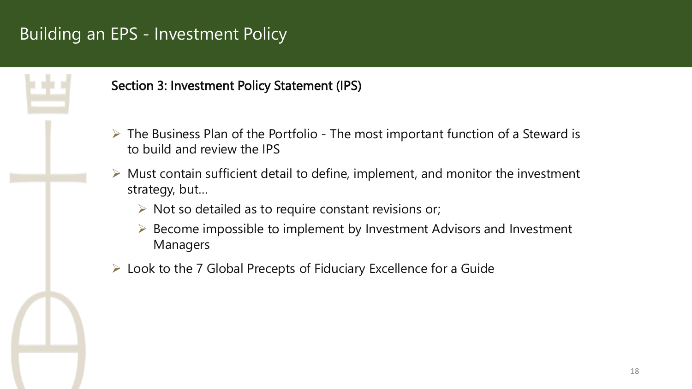# Building an EPS - Investment Policy



#### Section 3: Investment Policy Statement (IPS)

- $\triangleright$  The Business Plan of the Portfolio The most important function of a Steward is to build and review the IPS
- Must contain sufficient detail to define, implement, and monitor the investment strategy, but…
	- $\triangleright$  Not so detailed as to require constant revisions or;
	- $\triangleright$  Become impossible to implement by Investment Advisors and Investment Managers
- $\triangleright$  Look to the 7 Global Precepts of Fiduciary Excellence for a Guide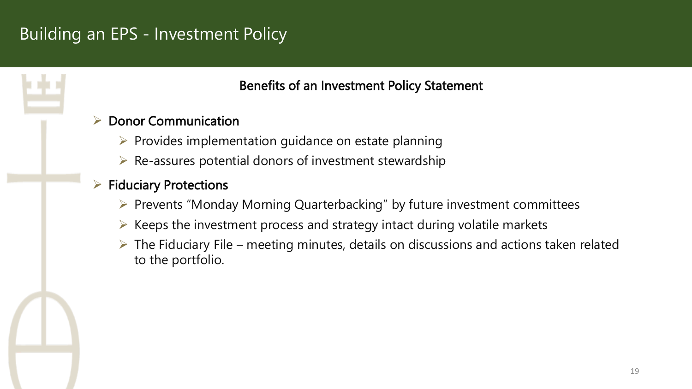# Building an EPS - Investment Policy

Benefits of an Investment Policy Statement

### Donor Communication

- $\triangleright$  Provides implementation guidance on estate planning
- $\triangleright$  Re-assures potential donors of investment stewardship

### Fiduciary Protections

- $\triangleright$  Prevents "Monday Morning Quarterbacking" by future investment committees
- $\triangleright$  Keeps the investment process and strategy intact during volatile markets
- $\triangleright$  The Fiduciary File meeting minutes, details on discussions and actions taken related to the portfolio.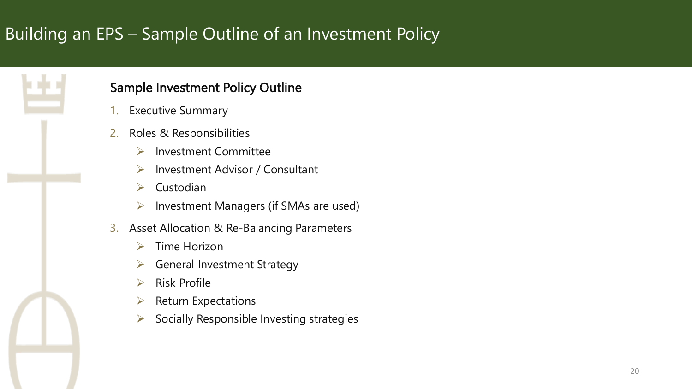# Building an EPS – Sample Outline of an Investment Policy



### Sample Investment Policy Outline

- **Executive Summary**
- 2. Roles & Responsibilities
	- **▶ Investment Committee**
	- $\triangleright$  Investment Advisor / Consultant
	- $\triangleright$  Custodian
	- $\triangleright$  Investment Managers (if SMAs are used)
- 3. Asset Allocation & Re-Balancing Parameters
	- $\triangleright$  Time Horizon
	- $\triangleright$  General Investment Strategy
	- $\triangleright$  Risk Profile
	- $\triangleright$  Return Expectations
	- $\triangleright$  Socially Responsible Investing strategies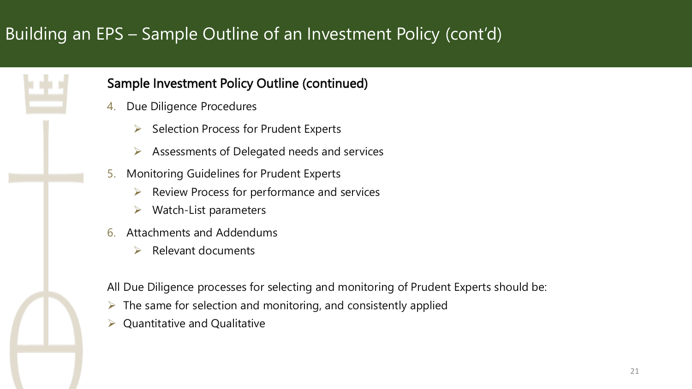# Building an EPS – Sample Outline of an Investment Policy (cont'd)



### Sample Investment Policy Outline (continued)

- 4. Due Diligence Procedures
	- Selection Process for Prudent Experts
	- $\triangleright$  Assessments of Delegated needs and services
- 5. Monitoring Guidelines for Prudent Experts
	- $\triangleright$  Review Process for performance and services
	- $\triangleright$  Watch-List parameters
- 6. Attachments and Addendums
	- $\triangleright$  Relevant documents

All Due Diligence processes for selecting and monitoring of Prudent Experts should be:

- $\triangleright$  The same for selection and monitoring, and consistently applied
- Quantitative and Qualitative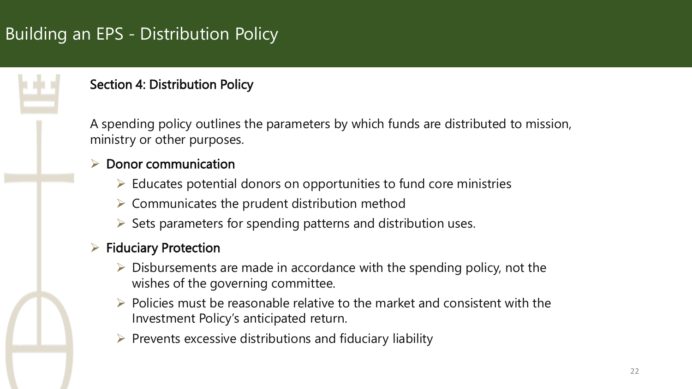# Building an EPS - Distribution Policy



### Section 4: Distribution Policy

A spending policy outlines the parameters by which funds are distributed to mission, ministry or other purposes.

### Donor communication

- $\triangleright$  Educates potential donors on opportunities to fund core ministries
- $\triangleright$  Communicates the prudent distribution method
- $\triangleright$  Sets parameters for spending patterns and distribution uses.

### $\triangleright$  Fiduciary Protection

- $\triangleright$  Disbursements are made in accordance with the spending policy, not the wishes of the governing committee.
- $\triangleright$  Policies must be reasonable relative to the market and consistent with the Investment Policy's anticipated return.
- $\triangleright$  Prevents excessive distributions and fiduciary liability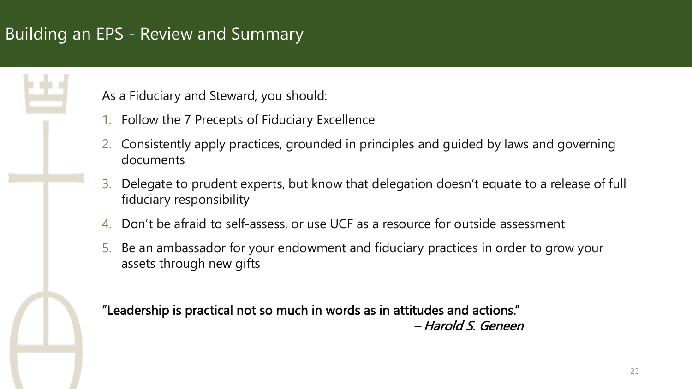# Building an EPS - Review and Summary

As a Fiduciary and Steward, you should:

- 1. Follow the 7 Precepts of Fiduciary Excellence
- 2. Consistently apply practices, grounded in principles and guided by laws and governing documents
- 3. Delegate to prudent experts, but know that delegation doesn't equate to a release of full fiduciary responsibility
- 4. Don't be afraid to self-assess, or use UCF as a resource for outside assessment
- 5. Be an ambassador for your endowment and fiduciary practices in order to grow your assets through new gifts

"Leadership is practical not so much in words as in attitudes and actions." – Harold S. Geneen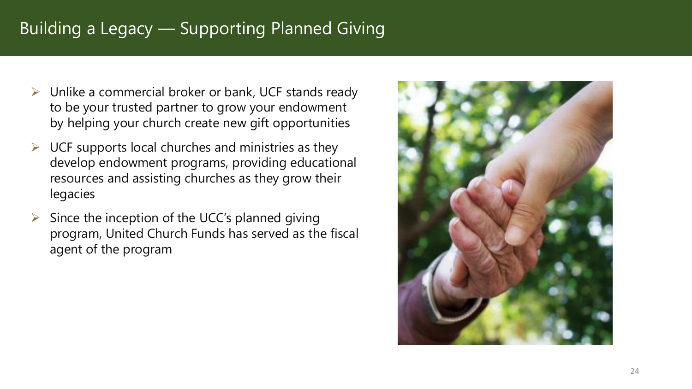### Building a Legacy — Supporting Planned Giving

- $\triangleright$  Unlike a commercial broker or bank, UCF stands ready to be your trusted partner to grow your endowment by helping your church create new gift opportunities
- $\triangleright$  UCF supports local churches and ministries as they develop endowment programs, providing educational resources and assisting churches as they grow their legacies
- $\triangleright$  Since the inception of the UCC's planned giving program, United Church Funds has served as the fiscal agent of the program